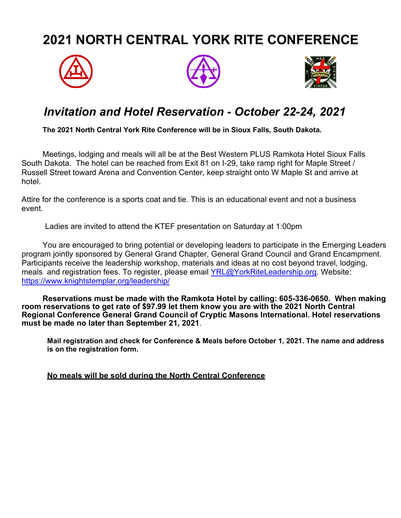# **2021 NORTH CENTRAL YORK RITE CONFERENCE**







### *Invitation and Hotel Reservation - October 22-24, 2021*

**The 2021 North Central York Rite Conference will be in Sioux Falls, South Dakota.** 

Meetings, lodging and meals will all be at the Best Western PLUS Ramkota Hotel Sioux Falls South Dakota. The hotel can be reached from Exit 81 on I-29, take ramp right for Maple Street / Russell Street toward Arena and Convention Center, keep straight onto W Maple St and arrive at hotel.

Attire for the conference is a sports coat and tie. This is an educational event and not a business event.

Ladies are invited to attend the KTEF presentation on Saturday at 1:00pm

You are encouraged to bring potential or developing leaders to participate in the Emerging Leaders program jointly sponsored by General Grand Chapter, General Grand Council and Grand Encampment. Participants receive the leadership workshop, materials and ideas at no cost beyond travel, lodging, meals and registration fees. To register, please email [YRL@YorkRiteLeadership.org.](mailto:YRL@YorkRiteLeadership.org) Website: <https://www.knightstemplar.org/leadership/>

**Reservations must be made with the Ramkota Hotel by calling: 605-336-0650. When making room reservations to get rate of \$97.99 let them know you are with the 2021 North Central Regional Conference General Grand Council of Cryptic Masons International. Hotel reservations must be made no later than September 21, 2021**.

**Mail registration and check for Conference & Meals before October 1, 2021. The name and address is on the registration form.**

**No meals will be sold during the North Central Conference**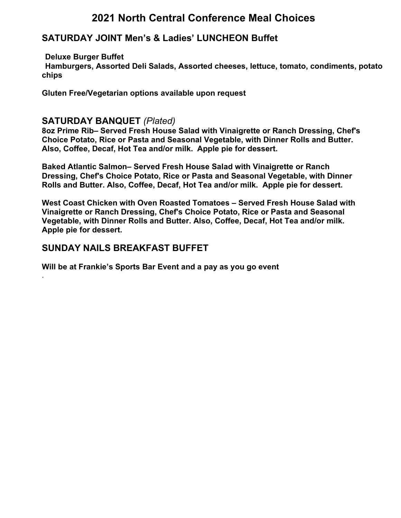### **2021 North Central Conference Meal Choices**

#### **SATURDAY JOINT Men's & Ladies' LUNCHEON Buffet**

#### **Deluxe Burger Buffet**

.

**Hamburgers, Assorted Deli Salads, Assorted cheeses, lettuce, tomato, condiments, potato chips**

**Gluten Free/Vegetarian options available upon request**

#### **SATURDAY BANQUET** *(Plated)*

**8oz Prime Rib– Served Fresh House Salad with Vinaigrette or Ranch Dressing, Chef's Choice Potato, Rice or Pasta and Seasonal Vegetable, with Dinner Rolls and Butter. Also, Coffee, Decaf, Hot Tea and/or milk. Apple pie for dessert.**

**Baked Atlantic Salmon– Served Fresh House Salad with Vinaigrette or Ranch Dressing, Chef's Choice Potato, Rice or Pasta and Seasonal Vegetable, with Dinner Rolls and Butter. Also, Coffee, Decaf, Hot Tea and/or milk. Apple pie for dessert.**

**West Coast Chicken with Oven Roasted Tomatoes – Served Fresh House Salad with Vinaigrette or Ranch Dressing, Chef's Choice Potato, Rice or Pasta and Seasonal Vegetable, with Dinner Rolls and Butter. Also, Coffee, Decaf, Hot Tea and/or milk. Apple pie for dessert.**

#### **SUNDAY NAILS BREAKFAST BUFFET**

**Will be at Frankie's Sports Bar Event and a pay as you go event**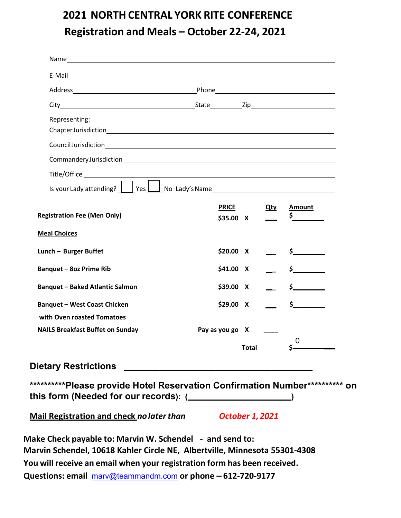## **2021 NORTH CENTRAL YORK RITE CONFERENCE Registration and Meals – October 22-24, 2021**

| Representing:                                                                 |                      |                           |              |                                                                                      |
|-------------------------------------------------------------------------------|----------------------|---------------------------|--------------|--------------------------------------------------------------------------------------|
|                                                                               |                      |                           |              |                                                                                      |
|                                                                               |                      |                           |              |                                                                                      |
|                                                                               |                      |                           |              |                                                                                      |
| Is your Lady attending? Ves Ves No Lady's Name                                |                      |                           |              |                                                                                      |
| <b>Registration Fee (Men Only)</b>                                            |                      | <b>PRICE</b><br>\$35.00 X | <u>Qty</u>   | <b>Amount</b>                                                                        |
| <b>Meal Choices</b>                                                           |                      |                           |              |                                                                                      |
| Lunch - Burger Buffet                                                         | \$20.00 X            |                           |              |                                                                                      |
| <b>Banquet - 8oz Prime Rib</b>                                                | \$41.00 X            |                           |              | $\begin{array}{ccc} & & \texttt{\$} & & \texttt{\_} & & \texttt{\_} & & \end{array}$ |
| <b>Banquet - Baked Atlantic Salmon</b>                                        | $$39.00$ X           |                           |              | $\sim$ $\sim$ $\sim$                                                                 |
| <b>Banquet - West Coast Chicken</b><br>with Oven roasted Tomatoes             | \$29.00 X            |                           |              | $\frac{1}{\sqrt{2}}$                                                                 |
| <b>NAILS Breakfast Buffet on Sunday</b>                                       | Pay as you go X ____ |                           |              |                                                                                      |
|                                                                               |                      |                           | <b>Total</b> | 0                                                                                    |
|                                                                               |                      |                           |              |                                                                                      |
|                                                                               |                      |                           |              |                                                                                      |
| ***********Please provide Hotel Reservation Confirmation Number*********** on |                      |                           |              |                                                                                      |
| this form (Needed for our records): (________________________)                |                      |                           |              |                                                                                      |
|                                                                               |                      |                           |              |                                                                                      |

**Make Check payable to: Marvin W. Schendel - and send to: Marvin Schendel, 10618 Kahler Circle NE, Albertville, Minnesota 55301-4308 You will receive an email when your registration form has been received. Questions: email** [marv@teammandm.com](mailto:marv@teammandm.com) **or phone – 612-720-9177**